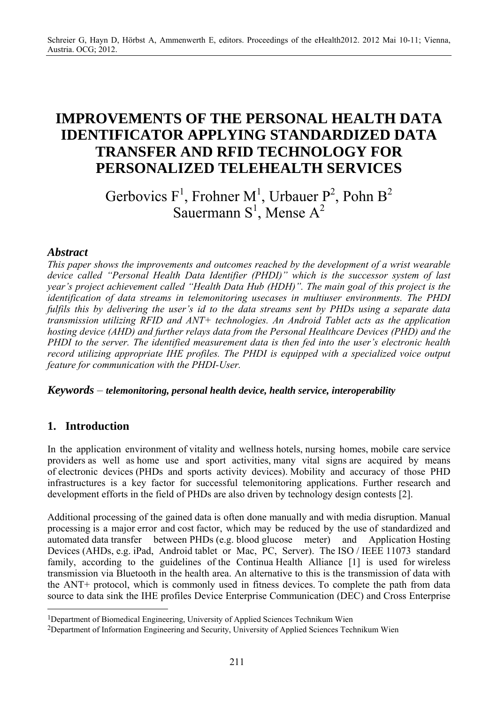# **IMPROVEMENTS OF THE PERSONAL HEALTH DATA IDENTIFICATOR APPLYING STANDARDIZED DATA TRANSFER AND RFID TECHNOLOGY FOR PERSONALIZED TELEHEALTH SERVICES**

Gerbovics  $F^1$ , Frohner M<sup>1</sup>, Urbauer P<sup>2</sup>, Pohn B<sup>2</sup> Sauermann  $S^1$ , Mense  $A^2$ 

#### *Abstract*

*This paper shows the improvements and outcomes reached by the development of a wrist wearable device called "Personal Health Data Identifier (PHDI)" which is the successor system of last year's project achievement called "Health Data Hub (HDH)". The main goal of this project is the identification of data streams in telemonitoring usecases in multiuser environments. The PHDI fulfils this by delivering the user's id to the data streams sent by PHDs using a separate data transmission utilizing RFID and ANT+ technologies. An Android Tablet acts as the application hosting device (AHD) and further relays data from the Personal Healthcare Devices (PHD) and the PHDI to the server. The identified measurement data is then fed into the user's electronic health record utilizing appropriate IHE profiles. The PHDI is equipped with a specialized voice output feature for communication with the PHDI-User.* 

*Keywords* – *telemonitoring, personal health device, health service, interoperability* 

# **1. Introduction**

 $\overline{a}$ 

In the application environment of vitality and wellness hotels, nursing homes, mobile care service providers as well as home use and sport activities, many vital signs are acquired by means of electronic devices (PHDs and sports activity devices). Mobility and accuracy of those PHD infrastructures is a key factor for successful telemonitoring applications. Further research and development efforts in the field of PHDs are also driven by technology design contests [2].

Additional processing of the gained data is often done manually and with media disruption. Manual processing is a major error and cost factor, which may be reduced by the use of standardized and automated data transfer between PHDs (e.g. blood glucose meter) and Application Hosting Devices (AHDs, e.g. iPad, Android tablet or Mac, PC, Server). The ISO / IEEE 11073 standard family, according to the guidelines of the Continua Health Alliance [1] is used for wireless transmission via Bluetooth in the health area. An alternative to this is the transmission of data with the ANT+ protocol, which is commonly used in fitness devices. To complete the path from data source to data sink the IHE profiles Device Enterprise Communication (DEC) and Cross Enterprise

<sup>1</sup>Department of Biomedical Engineering, University of Applied Sciences Technikum Wien

<sup>2</sup>Department of Information Engineering and Security, University of Applied Sciences Technikum Wien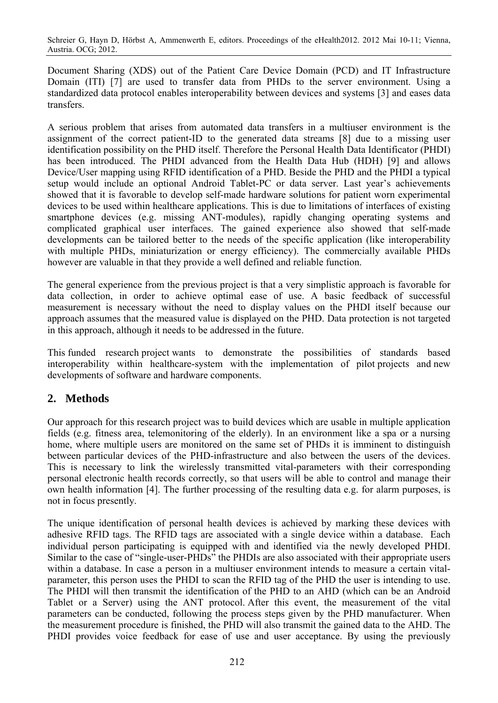Schreier G, Hayn D, Hörbst A, Ammenwerth E, editors. Proceedings of the eHealth2012. 2012 Mai 10-11; Vienna, Austria. OCG; 2012.

Document Sharing (XDS) out of the Patient Care Device Domain (PCD) and IT Infrastructure Domain (ITI) [7] are used to transfer data from PHDs to the server environment. Using a standardized data protocol enables interoperability between devices and systems [3] and eases data transfers.

A serious problem that arises from automated data transfers in a multiuser environment is the assignment of the correct patient-ID to the generated data streams [8] due to a missing user identification possibility on the PHD itself. Therefore the Personal Health Data Identificator (PHDI) has been introduced. The PHDI advanced from the Health Data Hub (HDH) [9] and allows Device/User mapping using RFID identification of a PHD. Beside the PHD and the PHDI a typical setup would include an optional Android Tablet-PC or data server. Last year's achievements showed that it is favorable to develop self-made hardware solutions for patient worn experimental devices to be used within healthcare applications. This is due to limitations of interfaces of existing smartphone devices (e.g. missing ANT-modules), rapidly changing operating systems and complicated graphical user interfaces. The gained experience also showed that self-made developments can be tailored better to the needs of the specific application (like interoperability with multiple PHDs, miniaturization or energy efficiency). The commercially available PHDs however are valuable in that they provide a well defined and reliable function.

The general experience from the previous project is that a very simplistic approach is favorable for data collection, in order to achieve optimal ease of use. A basic feedback of successful measurement is necessary without the need to display values on the PHDI itself because our approach assumes that the measured value is displayed on the PHD. Data protection is not targeted in this approach, although it needs to be addressed in the future.

This funded research project wants to demonstrate the possibilities of standards based interoperability within healthcare-system with the implementation of pilot projects and new developments of software and hardware components.

# **2. Methods**

Our approach for this research project was to build devices which are usable in multiple application fields (e.g. fitness area, telemonitoring of the elderly). In an environment like a spa or a nursing home, where multiple users are monitored on the same set of PHDs it is imminent to distinguish between particular devices of the PHD-infrastructure and also between the users of the devices. This is necessary to link the wirelessly transmitted vital-parameters with their corresponding personal electronic health records correctly, so that users will be able to control and manage their own health information [4]. The further processing of the resulting data e.g. for alarm purposes, is not in focus presently.

The unique identification of personal health devices is achieved by marking these devices with adhesive RFID tags. The RFID tags are associated with a single device within a database. Each individual person participating is equipped with and identified via the newly developed PHDI. Similar to the case of "single-user-PHDs" the PHDIs are also associated with their appropriate users within a database. In case a person in a multiuser environment intends to measure a certain vitalparameter, this person uses the PHDI to scan the RFID tag of the PHD the user is intending to use. The PHDI will then transmit the identification of the PHD to an AHD (which can be an Android Tablet or a Server) using the ANT protocol. After this event, the measurement of the vital parameters can be conducted, following the process steps given by the PHD manufacturer. When the measurement procedure is finished, the PHD will also transmit the gained data to the AHD. The PHDI provides voice feedback for ease of use and user acceptance. By using the previously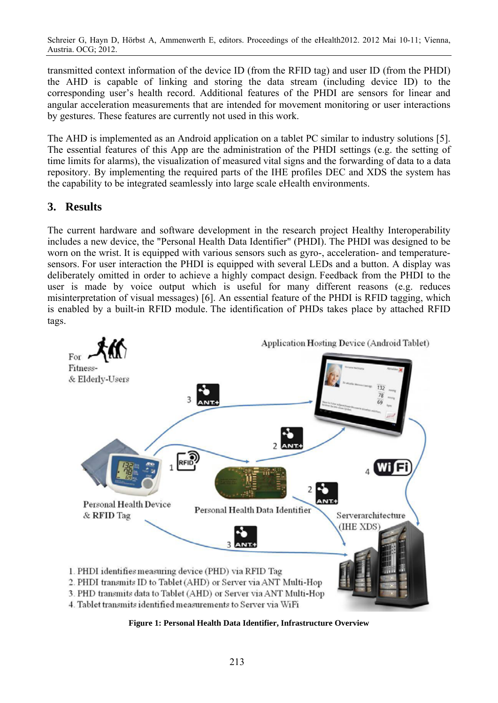Schreier G, Hayn D, Hörbst A, Ammenwerth E, editors. Proceedings of the eHealth2012. 2012 Mai 10-11; Vienna, Austria. OCG; 2012.

transmitted context information of the device ID (from the RFID tag) and user ID (from the PHDI) the AHD is capable of linking and storing the data stream (including device ID) to the corresponding user's health record. Additional features of the PHDI are sensors for linear and angular acceleration measurements that are intended for movement monitoring or user interactions by gestures. These features are currently not used in this work.

The AHD is implemented as an Android application on a tablet PC similar to industry solutions [5]. The essential features of this App are the administration of the PHDI settings (e.g. the setting of time limits for alarms), the visualization of measured vital signs and the forwarding of data to a data repository. By implementing the required parts of the IHE profiles DEC and XDS the system has the capability to be integrated seamlessly into large scale eHealth environments.

#### **3. Results**

The current hardware and software development in the research project Healthy Interoperability includes a new device, the "Personal Health Data Identifier" (PHDI). The PHDI was designed to be worn on the wrist. It is equipped with various sensors such as gyro-, acceleration- and temperaturesensors. For user interaction the PHDI is equipped with several LEDs and a button. A display was deliberately omitted in order to achieve a highly compact design. Feedback from the PHDI to the user is made by voice output which is useful for many different reasons (e.g. reduces misinterpretation of visual messages) [6]. An essential feature of the PHDI is RFID tagging, which is enabled by a built-in RFID module. The identification of PHDs takes place by attached RFID tags.



**Figure 1: Personal Health Data Identifier, Infrastructure Overview**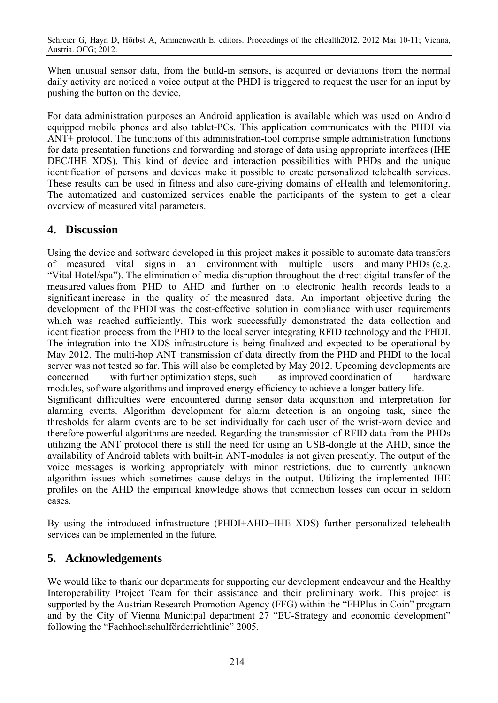When unusual sensor data, from the build-in sensors, is acquired or deviations from the normal daily activity are noticed a voice output at the PHDI is triggered to request the user for an input by pushing the button on the device.

For data administration purposes an Android application is available which was used on Android equipped mobile phones and also tablet-PCs. This application communicates with the PHDI via ANT+ protocol. The functions of this administration-tool comprise simple administration functions for data presentation functions and forwarding and storage of data using appropriate interfaces (IHE DEC/IHE XDS). This kind of device and interaction possibilities with PHDs and the unique identification of persons and devices make it possible to create personalized telehealth services. These results can be used in fitness and also care-giving domains of eHealth and telemonitoring. The automatized and customized services enable the participants of the system to get a clear overview of measured vital parameters.

#### **4. Discussion**

Using the device and software developed in this project makes it possible to automate data transfers of measured vital signs in an environment with multiple users and many PHDs (e.g. "Vital Hotel/spa"). The elimination of media disruption throughout the direct digital transfer of the measured values from PHD to AHD and further on to electronic health records leads to a significant increase in the quality of the measured data. An important objective during the development of the PHDI was the cost-effective solution in compliance with user requirements which was reached sufficiently. This work successfully demonstrated the data collection and identification process from the PHD to the local server integrating RFID technology and the PHDI. The integration into the XDS infrastructure is being finalized and expected to be operational by May 2012. The multi-hop ANT transmission of data directly from the PHD and PHDI to the local server was not tested so far. This will also be completed by May 2012. Upcoming developments are concerned with further optimization steps, such as improved coordination of hardware modules, software algorithms and improved energy efficiency to achieve a longer battery life. Significant difficulties were encountered during sensor data acquisition and interpretation for alarming events. Algorithm development for alarm detection is an ongoing task, since the thresholds for alarm events are to be set individually for each user of the wrist-worn device and therefore powerful algorithms are needed. Regarding the transmission of RFID data from the PHDs utilizing the ANT protocol there is still the need for using an USB-dongle at the AHD, since the availability of Android tablets with built-in ANT-modules is not given presently. The output of the voice messages is working appropriately with minor restrictions, due to currently unknown algorithm issues which sometimes cause delays in the output. Utilizing the implemented IHE profiles on the AHD the empirical knowledge shows that connection losses can occur in seldom cases.

By using the introduced infrastructure (PHDI+AHD+IHE XDS) further personalized telehealth services can be implemented in the future.

# **5. Acknowledgements**

We would like to thank our departments for supporting our development endeavour and the Healthy Interoperability Project Team for their assistance and their preliminary work. This project is supported by the Austrian Research Promotion Agency (FFG) within the "FHPlus in Coin" program and by the City of Vienna Municipal department 27 "EU-Strategy and economic development" following the "Fachhochschulförderrichtlinie" 2005.